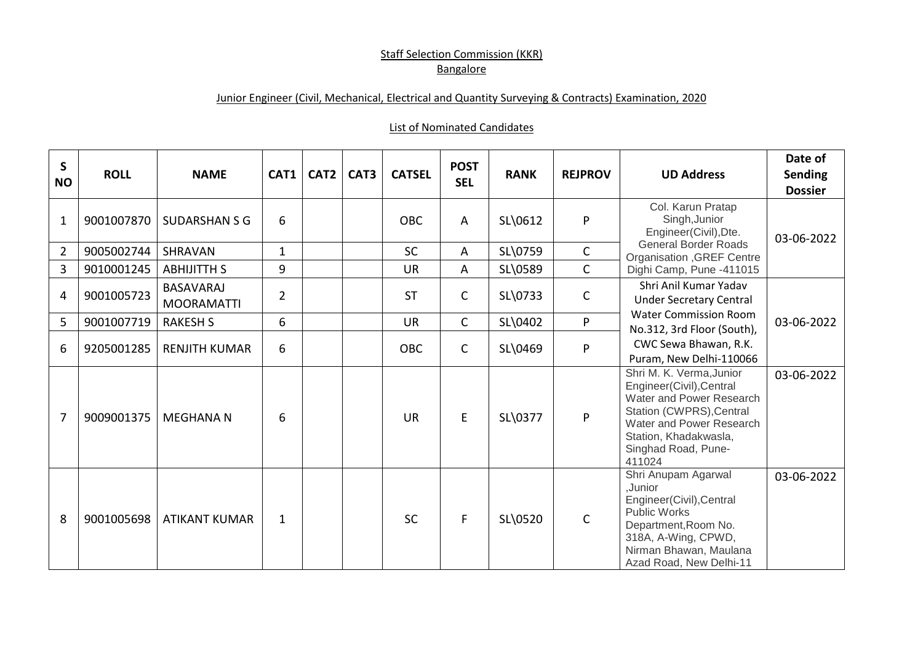## **Staff Selection Commission (KKR) Bangalore**

## Junior Engineer (Civil, Mechanical, Electrical and Quantity Surveying & Contracts) Examination, 2020

## List of Nominated Candidates

| S<br><b>NO</b> | <b>ROLL</b> | <b>NAME</b>                           | CAT1           | CAT <sub>2</sub> | CAT3 | <b>CATSEL</b> | <b>POST</b><br><b>SEL</b> | <b>RANK</b> | <b>REJPROV</b> | <b>UD Address</b>                                                                                                                                                                                  | Date of<br><b>Sending</b><br><b>Dossier</b> |
|----------------|-------------|---------------------------------------|----------------|------------------|------|---------------|---------------------------|-------------|----------------|----------------------------------------------------------------------------------------------------------------------------------------------------------------------------------------------------|---------------------------------------------|
| $\mathbf 1$    | 9001007870  | <b>SUDARSHAN S G</b>                  | 6              |                  |      | <b>OBC</b>    | A                         | SL\0612     | ${\sf P}$      | Col. Karun Pratap<br>Singh, Junior<br>Engineer(Civil), Dte.<br><b>General Border Roads</b><br><b>Organisation , GREF Centre</b><br>Dighi Camp, Pune -411015                                        | 03-06-2022                                  |
| $\overline{2}$ | 9005002744  | SHRAVAN                               | $\mathbf{1}$   |                  |      | <b>SC</b>     | A                         | SL\0759     | $\mathsf{C}$   |                                                                                                                                                                                                    |                                             |
| 3              | 9010001245  | <b>ABHIJITTH S</b>                    | 9              |                  |      | <b>UR</b>     | A                         | SL\0589     | $\mathsf{C}$   |                                                                                                                                                                                                    |                                             |
| 4              | 9001005723  | <b>BASAVARAJ</b><br><b>MOORAMATTI</b> | $\overline{2}$ |                  |      | <b>ST</b>     | C                         | SL\0733     | $\mathsf C$    | Shri Anil Kumar Yadav<br><b>Under Secretary Central</b><br><b>Water Commission Room</b><br>No.312, 3rd Floor (South),<br>CWC Sewa Bhawan, R.K.<br>Puram, New Delhi-110066                          |                                             |
| 5              | 9001007719  | <b>RAKESH S</b>                       | 6              |                  |      | <b>UR</b>     | $\mathsf{C}$              | SL\0402     | P              |                                                                                                                                                                                                    | 03-06-2022                                  |
| 6              | 9205001285  | <b>RENJITH KUMAR</b>                  | 6              |                  |      | <b>OBC</b>    | C                         | SL\0469     | P              |                                                                                                                                                                                                    |                                             |
| 7              | 9009001375  | <b>MEGHANA N</b>                      | 6              |                  |      | <b>UR</b>     | E                         | SL\0377     | P              | Shri M. K. Verma, Junior<br>Engineer(Civil), Central<br>Water and Power Research<br>Station (CWPRS), Central<br>Water and Power Research<br>Station, Khadakwasla,<br>Singhad Road, Pune-<br>411024 | 03-06-2022                                  |
| 8              | 9001005698  | <b>ATIKANT KUMAR</b>                  | $\mathbf 1$    |                  |      | <b>SC</b>     | F.                        | SL\0520     | $\mathsf{C}$   | Shri Anupam Agarwal<br>,Junior<br>Engineer(Civil), Central<br><b>Public Works</b><br>Department, Room No.<br>318A, A-Wing, CPWD,<br>Nirman Bhawan, Maulana<br>Azad Road, New Delhi-11              | 03-06-2022                                  |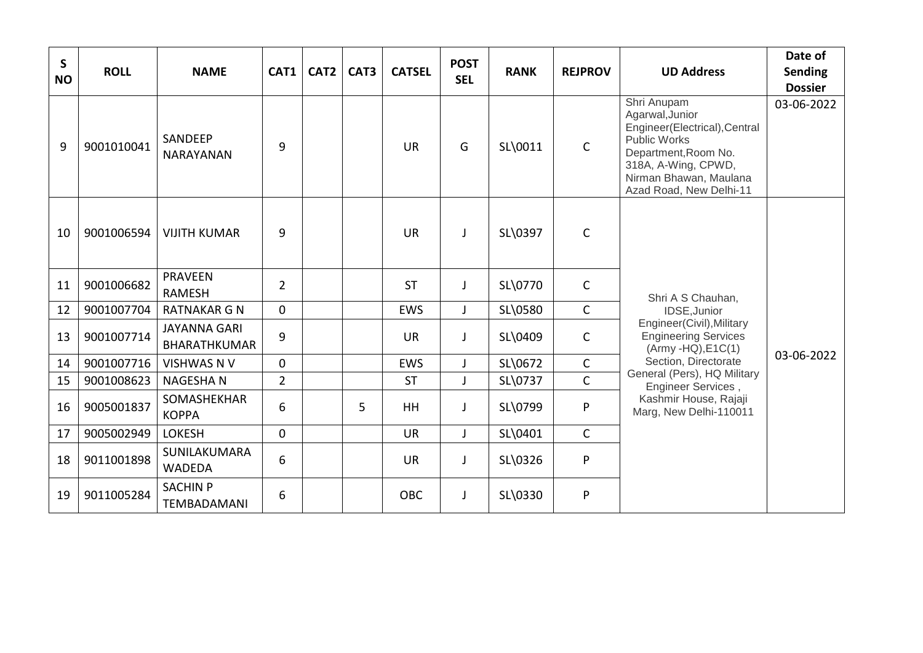| $\mathsf{S}$<br><b>NO</b> | <b>ROLL</b> | <b>NAME</b>                                | CAT1           | CAT <sub>2</sub> | CAT3 | <b>CATSEL</b> | <b>POST</b><br><b>SEL</b> | <b>RANK</b> | <b>REJPROV</b> | <b>UD Address</b>                                                                                                                                                                                                                                     | Date of<br><b>Sending</b><br><b>Dossier</b> |
|---------------------------|-------------|--------------------------------------------|----------------|------------------|------|---------------|---------------------------|-------------|----------------|-------------------------------------------------------------------------------------------------------------------------------------------------------------------------------------------------------------------------------------------------------|---------------------------------------------|
| 9                         | 9001010041  | SANDEEP<br><b>NARAYANAN</b>                | 9              |                  |      | <b>UR</b>     | G                         | SL\0011     | $\mathsf{C}$   | Shri Anupam<br>Agarwal, Junior<br>Engineer(Electrical), Central<br><b>Public Works</b><br>Department, Room No.<br>318A, A-Wing, CPWD,<br>Nirman Bhawan, Maulana<br>Azad Road, New Delhi-11                                                            | 03-06-2022                                  |
| 10                        | 9001006594  | <b>VIJITH KUMAR</b>                        | 9              |                  |      | <b>UR</b>     | $\mathbf{I}$              | SL\0397     | $\mathsf{C}$   | Shri A S Chauhan,<br>IDSE, Junior<br>Engineer(Civil), Military<br><b>Engineering Services</b><br>$(Army -HQ), E1C(1)$<br>Section, Directorate<br>General (Pers), HQ Military<br>Engineer Services,<br>Kashmir House, Rajaji<br>Marg, New Delhi-110011 |                                             |
| 11                        | 9001006682  | <b>PRAVEEN</b><br><b>RAMESH</b>            | $\overline{2}$ |                  |      | <b>ST</b>     | J                         | SL\0770     | $\mathsf{C}$   |                                                                                                                                                                                                                                                       |                                             |
| 12                        | 9001007704  | <b>RATNAKAR G N</b>                        | $\mathbf 0$    |                  |      | <b>EWS</b>    | $\mathbf{J}$              | SL\0580     | $\mathsf{C}$   |                                                                                                                                                                                                                                                       |                                             |
| 13                        | 9001007714  | <b>JAYANNA GARI</b><br><b>BHARATHKUMAR</b> | 9              |                  |      | <b>UR</b>     | $\mathsf{I}$              | SL\0409     | $\mathsf{C}$   |                                                                                                                                                                                                                                                       | 03-06-2022                                  |
| 14                        | 9001007716  | <b>VISHWAS N V</b>                         | $\mathbf{0}$   |                  |      | <b>EWS</b>    | J                         | SL\0672     | $\mathsf{C}$   |                                                                                                                                                                                                                                                       |                                             |
| 15                        | 9001008623  | <b>NAGESHAN</b>                            | $\overline{2}$ |                  |      | <b>ST</b>     | $\mathsf{I}$              | SL\0737     | $\mathsf{C}$   |                                                                                                                                                                                                                                                       |                                             |
| 16                        | 9005001837  | SOMASHEKHAR<br><b>KOPPA</b>                | 6              |                  | 5    | <b>HH</b>     | J                         | SL\0799     | ${\sf P}$      |                                                                                                                                                                                                                                                       |                                             |
| 17                        | 9005002949  | <b>LOKESH</b>                              | $\mathbf 0$    |                  |      | <b>UR</b>     | $\mathbf{J}$              | SL\0401     | $\mathsf{C}$   |                                                                                                                                                                                                                                                       |                                             |
| 18                        | 9011001898  | SUNILAKUMARA<br><b>WADEDA</b>              | 6              |                  |      | <b>UR</b>     | $\mathbf{J}$              | SL\0326     | ${\sf P}$      |                                                                                                                                                                                                                                                       |                                             |
| 19                        | 9011005284  | <b>SACHIN P</b><br><b>TEMBADAMANI</b>      | 6              |                  |      | <b>OBC</b>    | J                         | SL\0330     | $\mathsf{P}$   |                                                                                                                                                                                                                                                       |                                             |